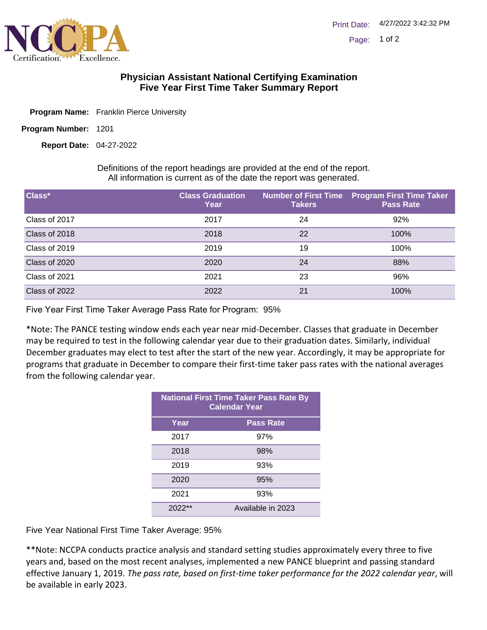

## **Physician Assistant National Certifying Examination Five Year First Time Taker Summary Report**

- **Program Name:** Franklin Pierce University
- Program Number: 1201

04-27-2022 **Report Date:**

Definitions of the report headings are provided at the end of the report. All information is current as of the date the report was generated.

| Class*        | <b>Class Graduation</b><br>Year | <b>Takers</b> | Number of First Time Program First Time Taker<br><b>Pass Rate</b> |
|---------------|---------------------------------|---------------|-------------------------------------------------------------------|
| Class of 2017 | 2017                            | 24            | 92%                                                               |
| Class of 2018 | 2018                            | 22            | 100%                                                              |
| Class of 2019 | 2019                            | 19            | 100%                                                              |
| Class of 2020 | 2020                            | 24            | 88%                                                               |
| Class of 2021 | 2021                            | 23            | 96%                                                               |
| Class of 2022 | 2022                            | 21            | 100%                                                              |

Five Year First Time Taker Average Pass Rate for Program: 95%

\*Note: The PANCE testing window ends each year near mid-December. Classes that graduate in December may be required to test in the following calendar year due to their graduation dates. Similarly, individual December graduates may elect to test after the start of the new year. Accordingly, it may be appropriate for programs that graduate in December to compare their first-time taker pass rates with the national averages from the following calendar year.

| <b>National First Time Taker Pass Rate By</b><br><b>Calendar Year</b> |                   |  |  |
|-----------------------------------------------------------------------|-------------------|--|--|
| Year                                                                  | <b>Pass Rate</b>  |  |  |
| 2017                                                                  | 97%               |  |  |
| 2018                                                                  | 98%               |  |  |
| 2019                                                                  | 93%               |  |  |
| 2020                                                                  | 95%               |  |  |
| 2021                                                                  | 93%               |  |  |
| $2022**$                                                              | Available in 2023 |  |  |

Five Year National First Time Taker Average: 95%

\*\*Note: NCCPA conducts practice analysis and standard setting studies approximately every three to five years and, based on the most recent analyses, implemented a new PANCE blueprint and passing standard effective January 1, 2019. *The pass rate, based on first-time taker performance for the 2022 calendar year*, will be available in early 2023.